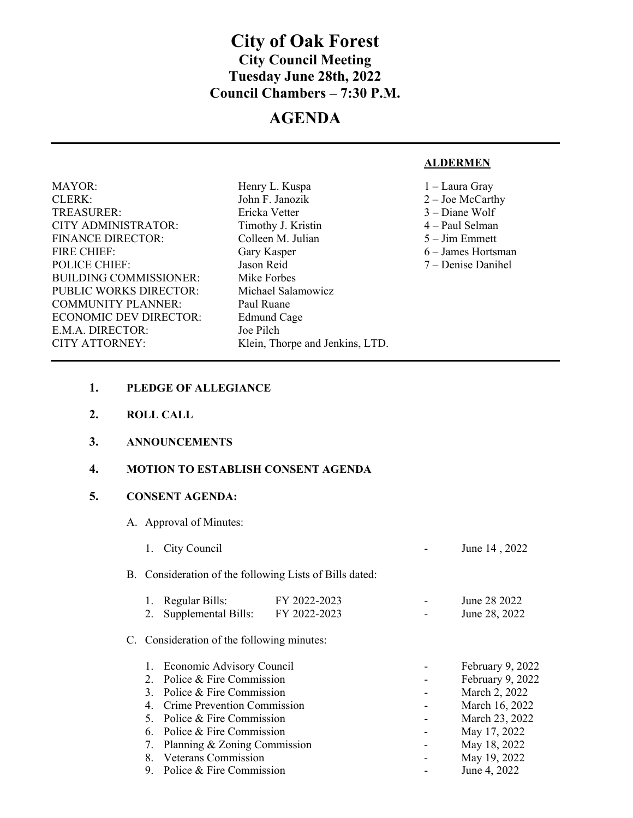# **City of Oak Forest City Council Meeting Tuesday June 28th, 2022 Council Chambers – 7:30 P.M.**

# **AGENDA**

### **ALDERMEN**

| <b>MAYOR:</b>                 | Henry L. Kuspa                  | 1 – Laura Gray       |
|-------------------------------|---------------------------------|----------------------|
| <b>CLERK:</b>                 | John F. Janozik                 | $2 -$ Joe McCarthy   |
| <b>TREASURER:</b>             | Ericka Vetter                   | $3 - D$ iane Wolf    |
| CITY ADMINISTRATOR:           | Timothy J. Kristin              | $4 - Paul Selman$    |
| <b>FINANCE DIRECTOR:</b>      | Colleen M. Julian               | $5 - Jim Emmett$     |
| <b>FIRE CHIEF:</b>            | Gary Kasper                     | $6 - James$ Hortsman |
| <b>POLICE CHIEF:</b>          | Jason Reid                      | 7 – Denise Danihel   |
| <b>BUILDING COMMISSIONER:</b> | Mike Forbes                     |                      |
| PUBLIC WORKS DIRECTOR:        | Michael Salamowicz              |                      |
| <b>COMMUNITY PLANNER:</b>     | Paul Ruane                      |                      |
| <b>ECONOMIC DEV DIRECTOR:</b> | Edmund Cage                     |                      |
| E.M.A. DIRECTOR:              | Joe Pilch                       |                      |
| CITY ATTORNEY:                | Klein, Thorpe and Jenkins, LTD. |                      |
|                               |                                 |                      |

- **1. PLEDGE OF ALLEGIANCE**
- **2. ROLL CALL**

 $\overline{\phantom{a}}$ 

**3. ANNOUNCEMENTS** 

#### **4. MOTION TO ESTABLISH CONSENT AGENDA**

## **5. CONSENT AGENDA:**

A. Approval of Minutes:

|                                                                    | City Council                                                                                                     |                              |  | June 14, 2022                                                           |  |  |
|--------------------------------------------------------------------|------------------------------------------------------------------------------------------------------------------|------------------------------|--|-------------------------------------------------------------------------|--|--|
|                                                                    | B. Consideration of the following Lists of Bills dated:                                                          |                              |  |                                                                         |  |  |
| 1.<br>2.                                                           | Regular Bills:<br>Supplemental Bills:                                                                            | FY 2022-2023<br>FY 2022-2023 |  | June 28 2022<br>June 28, 2022                                           |  |  |
|                                                                    | C. Consideration of the following minutes:                                                                       |                              |  |                                                                         |  |  |
| $2^{\circ}$<br>3.<br>4.                                            | Economic Advisory Council<br>Police & Fire Commission<br>Police & Fire Commission<br>Crime Prevention Commission |                              |  | February 9, 2022<br>February 9, 2022<br>March 2, 2022<br>March 16, 2022 |  |  |
| .5<br>6.<br>7.                                                     | Police & Fire Commission<br>Police & Fire Commission<br>Planning & Zoning Commission                             |                              |  | March 23, 2022<br>May 17, 2022<br>May 18, 2022                          |  |  |
| <b>Veterans Commission</b><br>8.<br>Police & Fire Commission<br>9. |                                                                                                                  |                              |  | May 19, 2022<br>June 4, 2022                                            |  |  |